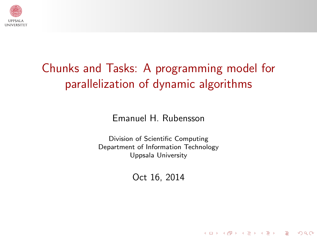

# Chunks and Tasks: A programming model for parallelization of dynamic algorithms

Emanuel H. Rubensson

Division of Scientific Computing Department of Information Technology Uppsala University

Oct 16, 2014

KORK (FRAGER CENT)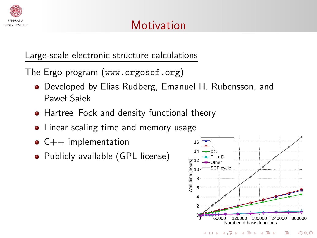

#### Large-scale electronic structure calculations

The Ergo program (www.ergoscf.org)

- Developed by Elias Rudberg, Emanuel H. Rubensson, and Paweł Sałek
- Hartree–Fock and density functional theory
- Linear scaling time and memory usage
- $\bullet$  C++ implementation
- Publicly available (GPL license)

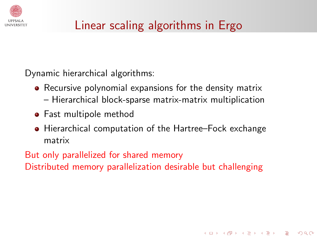

# Linear scaling algorithms in Ergo

Dynamic hierarchical algorithms:

- Recursive polynomial expansions for the density matrix
	- Hierarchical block-sparse matrix-matrix multiplication
- **•** Fast multipole method
- Hierarchical computation of the Hartree–Fock exchange matrix

**KORK EXTERNE PROVIDE** 

<span id="page-2-0"></span>But only parallelized for shared memory Distributed memory parallelization desirable but challenging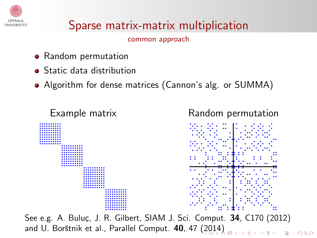

# Sparse matrix-matrix multiplication

common approach

- Random permutation
- **•** Static data distribution
- Algorithm for dense matrices (Cannon's alg. or SUMMA)



See e.g. A. Buluç, J. R. Gilbert, SIAM J. Sci. Comput. 34, C170 (2012) and U. Borštnik et al., Parallel Comput. 40, 47 [\(20](#page-2-0)[14](#page-4-0)[\)](#page-2-0)

 $000$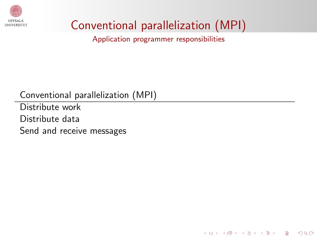

# Conventional parallelization (MPI)

Application programmer responsibilities

**KORKA SERKER DE VOOR** 

Conventional parallelization (MPI)

<span id="page-4-0"></span>Distribute work Distribute data Send and receive messages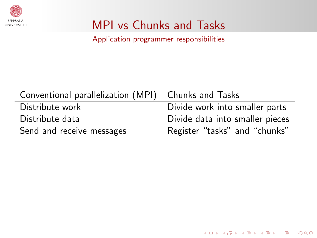

# MPI vs Chunks and Tasks

Application programmer responsibilities

| Conventional parallelization (MPI) Chunks and Tasks |                                 |
|-----------------------------------------------------|---------------------------------|
| Distribute work                                     | Divide work into smaller parts  |
| Distribute data                                     | Divide data into smaller pieces |
| Send and receive messages                           | Register "tasks" and "chunks"   |

KID KIN KERKER E 1990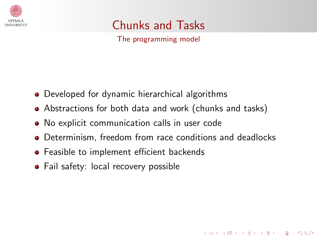

Chunks and Tasks

The programming model

- Developed for dynamic hierarchical algorithms
- Abstractions for both data and work (chunks and tasks)
- No explicit communication calls in user code
- Determinism, freedom from race conditions and deadlocks

**KORKA SERKER DE VOOR** 

- **•** Feasible to implement efficient backends
- Fail safety: local recovery possible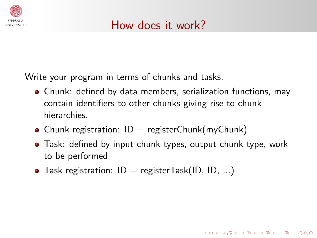

Write your program in terms of chunks and tasks.

- Chunk: defined by data members, serialization functions, may contain identifiers to other chunks giving rise to chunk hierarchies.
- Chunk registration:  $ID =$  registerChunk(myChunk)
- Task: defined by input chunk types, output chunk type, work to be performed

**KORK EXTERNE PROVIDE** 

• Task registration:  $ID = registerTask(ID, ID, ...)$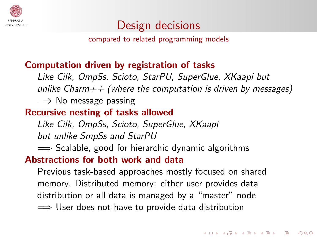

### Design decisions

compared to related programming models

#### Computation driven by registration of tasks

Like Cilk, OmpSs, Scioto, StarPU, SuperGlue, XKaapi but unlike Charm $++$  (where the computation is driven by messages)  $\implies$  No message passing

#### Recursive nesting of tasks allowed

Like Cilk, OmpSs, Scioto, SuperGlue, XKaapi but unlike SmpSs and StarPU

 $\implies$  Scalable, good for hierarchic dynamic algorithms

#### Abstractions for both work and data

Previous task-based approaches mostly focused on shared memory. Distributed memory: either user provides data distribution or all data is managed by a "master" node  $\implies$  User does not have to provide data distribution

**KORKA SERKER DE VOOR**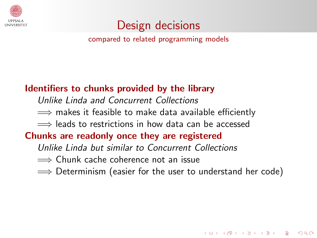

### Design decisions

compared to related programming models

#### Identifiers to chunks provided by the library

Unlike Linda and Concurrent Collections

 $\implies$  makes it feasible to make data available efficiently

 $\implies$  leads to restrictions in how data can be accessed

#### Chunks are readonly once they are registered

Unlike Linda but similar to Concurrent Collections

=⇒ Chunk cache coherence not an issue

 $\implies$  Determinism (easier for the user to understand her code)

**KORK EXTERNE PROVIDE**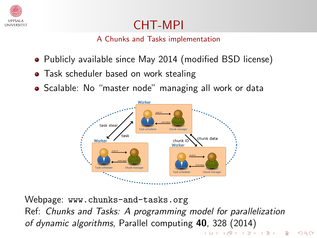

### CHT-MPI

A Chunks and Tasks implementation

- Publicly available since May 2014 (modified BSD license)
- Task scheduler based on work stealing
- Scalable: No "master node" managing all work or data



Webpage: www.chunks-and-tasks.org Ref: Chunks and Tasks: A programming model for parallelization of dynamic algorithms, Parallel computing 40, 328 (2014)K □ ▶ K @ ▶ K 할 > K 할 > → 할 → K) Q Q <del>O</del>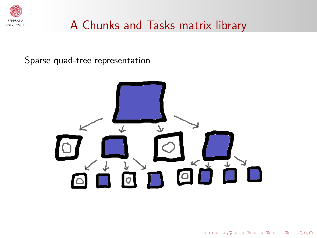

### A Chunks and Tasks matrix library

Sparse quad-tree representation



 $4$  ロ )  $4$  何 )  $4$  ミ )  $4$   $3$   $\rightarrow$ 

÷,

 $2990$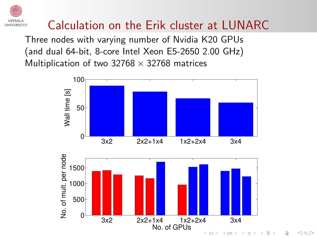# Calculation on the Erik cluster at LUNARC

Three nodes with varying number of Nvidia K20 GPUs (and dual 64-bit, 8-core Intel Xeon E5-2650 2.00 GHz) Multiplication of two 32768  $\times$  32768 matrices





 $QQ$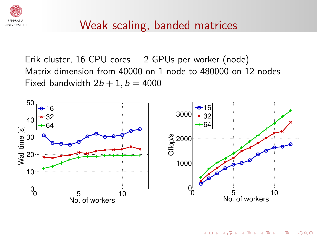

### Weak scaling, banded matrices

Erik cluster, 16 CPU cores  $+ 2$  GPUs per worker (node) Matrix dimension from 40000 on 1 node to 480000 on 12 nodes Fixed bandwidth  $2b + 1$ ,  $b = 4000$ 



KORK (FRAGER (ER) EL PORO